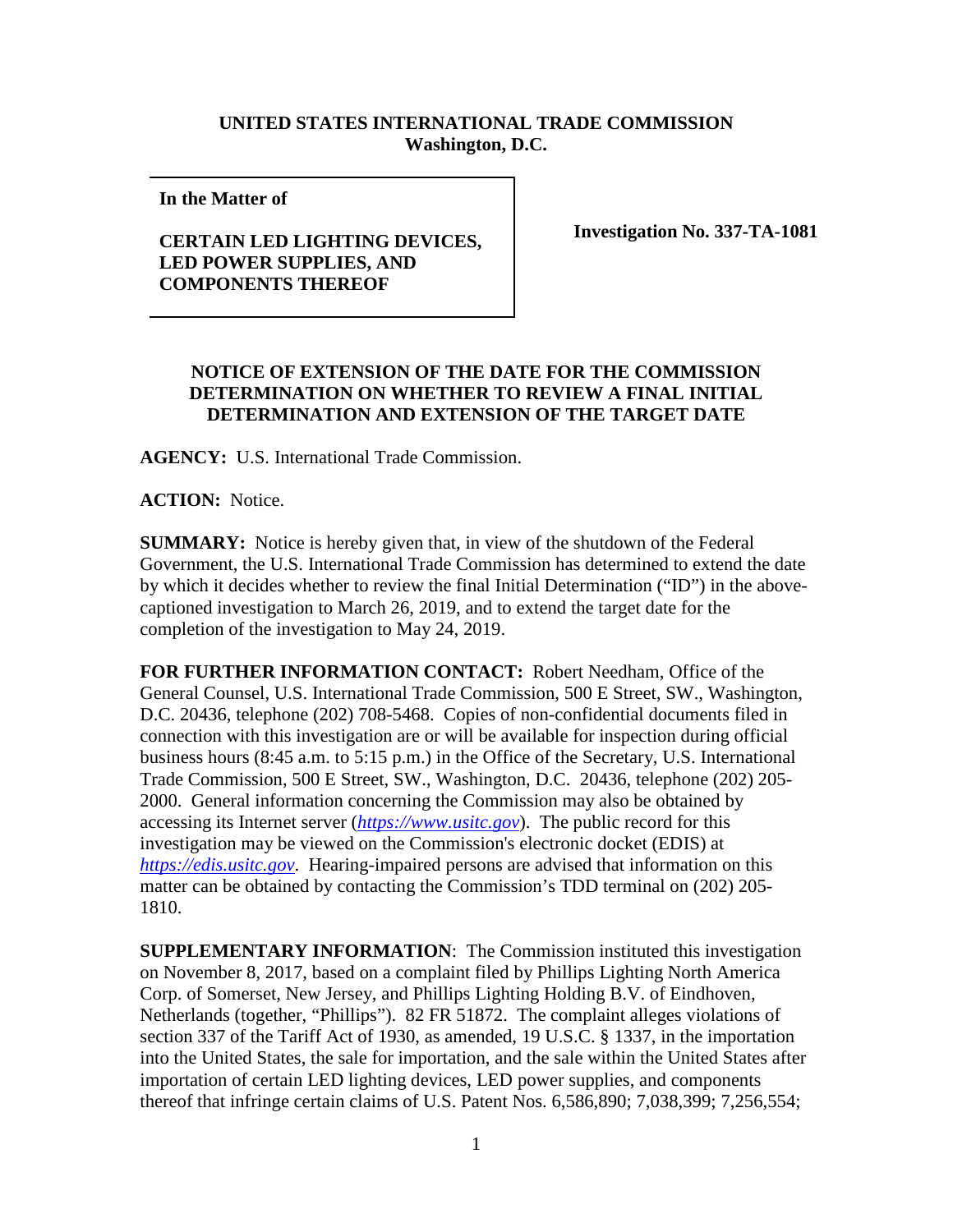## **UNITED STATES INTERNATIONAL TRADE COMMISSION Washington, D.C.**

**In the Matter of** 

## **CERTAIN LED LIGHTING DEVICES, LED POWER SUPPLIES, AND COMPONENTS THEREOF**

**Investigation No. 337-TA-1081**

## **NOTICE OF EXTENSION OF THE DATE FOR THE COMMISSION DETERMINATION ON WHETHER TO REVIEW A FINAL INITIAL DETERMINATION AND EXTENSION OF THE TARGET DATE**

**AGENCY:** U.S. International Trade Commission.

**ACTION:** Notice.

**SUMMARY:** Notice is hereby given that, in view of the shutdown of the Federal Government, the U.S. International Trade Commission has determined to extend the date by which it decides whether to review the final Initial Determination ("ID") in the abovecaptioned investigation to March 26, 2019, and to extend the target date for the completion of the investigation to May 24, 2019.

**FOR FURTHER INFORMATION CONTACT:** Robert Needham, Office of the General Counsel, U.S. International Trade Commission, 500 E Street, SW., Washington, D.C. 20436, telephone (202) 708-5468. Copies of non-confidential documents filed in connection with this investigation are or will be available for inspection during official business hours (8:45 a.m. to 5:15 p.m.) in the Office of the Secretary, U.S. International Trade Commission, 500 E Street, SW., Washington, D.C. 20436, telephone (202) 205- 2000. General information concerning the Commission may also be obtained by accessing its Internet server (*[https://www.usitc.gov](https://www.usitc.gov/)*). The public record for this investigation may be viewed on the Commission's electronic docket (EDIS) at *[https://edis.usitc.gov](https://edis.usitc.gov/)*. Hearing-impaired persons are advised that information on this matter can be obtained by contacting the Commission's TDD terminal on (202) 205- 1810.

**SUPPLEMENTARY INFORMATION**: The Commission instituted this investigation on November 8, 2017, based on a complaint filed by Phillips Lighting North America Corp. of Somerset, New Jersey, and Phillips Lighting Holding B.V. of Eindhoven, Netherlands (together, "Phillips"). 82 FR 51872. The complaint alleges violations of section 337 of the Tariff Act of 1930, as amended, 19 U.S.C. § 1337, in the importation into the United States, the sale for importation, and the sale within the United States after importation of certain LED lighting devices, LED power supplies, and components thereof that infringe certain claims of U.S. Patent Nos. 6,586,890; 7,038,399; 7,256,554;